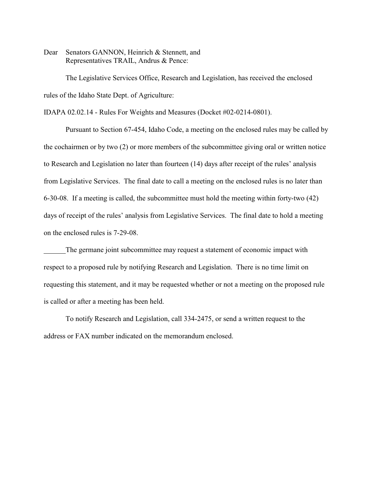Dear Senators GANNON, Heinrich & Stennett, and Representatives TRAIL, Andrus & Pence:

The Legislative Services Office, Research and Legislation, has received the enclosed rules of the Idaho State Dept. of Agriculture:

IDAPA 02.02.14 - Rules For Weights and Measures (Docket #02-0214-0801).

Pursuant to Section 67-454, Idaho Code, a meeting on the enclosed rules may be called by the cochairmen or by two (2) or more members of the subcommittee giving oral or written notice to Research and Legislation no later than fourteen (14) days after receipt of the rules' analysis from Legislative Services. The final date to call a meeting on the enclosed rules is no later than 6-30-08. If a meeting is called, the subcommittee must hold the meeting within forty-two (42) days of receipt of the rules' analysis from Legislative Services. The final date to hold a meeting on the enclosed rules is 7-29-08.

The germane joint subcommittee may request a statement of economic impact with respect to a proposed rule by notifying Research and Legislation. There is no time limit on requesting this statement, and it may be requested whether or not a meeting on the proposed rule is called or after a meeting has been held.

To notify Research and Legislation, call 334-2475, or send a written request to the address or FAX number indicated on the memorandum enclosed.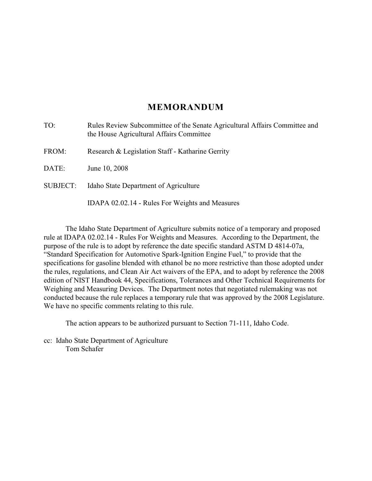# **MEMORANDUM**

| TO:             | Rules Review Subcommittee of the Senate Agricultural Affairs Committee and<br>the House Agricultural Affairs Committee |  |
|-----------------|------------------------------------------------------------------------------------------------------------------------|--|
| FROM:           | Research & Legislation Staff - Katharine Gerrity                                                                       |  |
| DATE:           | June 10, 2008                                                                                                          |  |
| <b>SUBJECT:</b> | Idaho State Department of Agriculture                                                                                  |  |
|                 | IDAPA 02.02.14 - Rules For Weights and Measures                                                                        |  |

The Idaho State Department of Agriculture submits notice of a temporary and proposed rule at IDAPA 02.02.14 - Rules For Weights and Measures. According to the Department, the purpose of the rule is to adopt by reference the date specific standard ASTM D 4814-07a, "Standard Specification for Automotive Spark-Ignition Engine Fuel," to provide that the specifications for gasoline blended with ethanol be no more restrictive than those adopted under the rules, regulations, and Clean Air Act waivers of the EPA, and to adopt by reference the 2008 edition of NIST Handbook 44, Specifications, Tolerances and Other Technical Requirements for Weighing and Measuring Devices. The Department notes that negotiated rulemaking was not conducted because the rule replaces a temporary rule that was approved by the 2008 Legislature. We have no specific comments relating to this rule.

The action appears to be authorized pursuant to Section 71-111, Idaho Code.

cc: Idaho State Department of Agriculture Tom Schafer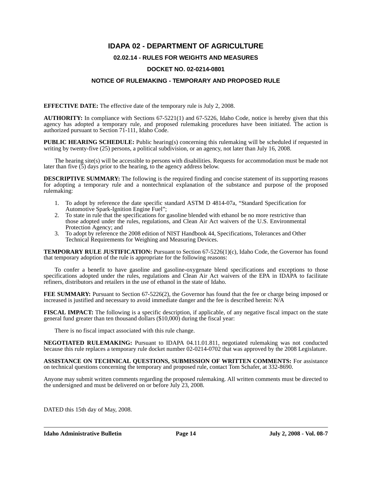# **IDAPA 02 - DEPARTMENT OF AGRICULTURE**

## **02.02.14 - RULES FOR WEIGHTS AND MEASURES**

#### **DOCKET NO. 02-0214-0801**

### **NOTICE OF RULEMAKING - TEMPORARY AND PROPOSED RULE**

**EFFECTIVE DATE:** The effective date of the temporary rule is July 2, 2008.

**AUTHORITY:** In compliance with Sections 67-5221(1) and 67-5226, Idaho Code, notice is hereby given that this agency has adopted a temporary rule, and proposed rulemaking procedures have been initiated. The action is authorized pursuant to Section 71-111, Idaho Code.

**PUBLIC HEARING SCHEDULE:** Public hearing(s) concerning this rulemaking will be scheduled if requested in writing by twenty-five (25) persons, a political subdivision, or an agency, not later than July 16, 2008.

The hearing site(s) will be accessible to persons with disabilities. Requests for accommodation must be made not later than five  $(5)$  days prior to the hearing, to the agency address below.

**DESCRIPTIVE SUMMARY:** The following is the required finding and concise statement of its supporting reasons for adopting a temporary rule and a nontechnical explanation of the substance and purpose of the proposed rulemaking:

- 1. To adopt by reference the date specific standard ASTM D 4814-07a, "Standard Specification for Automotive Spark-Ignition Engine Fuel";
- 2. To state in rule that the specifications for gasoline blended with ethanol be no more restrictive than those adopted under the rules, regulations, and Clean Air Act waivers of the U.S. Environmental Protection Agency; and
- 3. To adopt by reference the 2008 edition of NIST Handbook 44, Specifications, Tolerances and Other Technical Requirements for Weighing and Measuring Devices.

**TEMPORARY RULE JUSTIFICATION:** Pursuant to Section 67-5226(1)(c), Idaho Code, the Governor has found that temporary adoption of the rule is appropriate for the following reasons:

To confer a benefit to have gasoline and gasoline-oxygenate blend specifications and exceptions to those specifications adopted under the rules, regulations and Clean Air Act waivers of the EPA in IDAPA to facilitate refiners, distributors and retailers in the use of ethanol in the state of Idaho.

**FEE SUMMARY:** Pursuant to Section 67-5226(2), the Governor has found that the fee or charge being imposed or increased is justified and necessary to avoid immediate danger and the fee is described herein: N/A

**FISCAL IMPACT:** The following is a specific description, if applicable, of any negative fiscal impact on the state general fund greater than ten thousand dollars (\$10,000) during the fiscal year:

There is no fiscal impact associated with this rule change.

**NEGOTIATED RULEMAKING:** Pursuant to IDAPA 04.11.01.811, negotiated rulemaking was not conducted because this rule replaces a temporary rule docket number 02-0214-0702 that was approved by the 2008 Legislature.

**ASSISTANCE ON TECHNICAL QUESTIONS, SUBMISSION OF WRITTEN COMMENTS:** For assistance on technical questions concerning the temporary and proposed rule, contact Tom Schafer, at 332-8690.

Anyone may submit written comments regarding the proposed rulemaking. All written comments must be directed to the undersigned and must be delivered on or before July 23, 2008.

DATED this 15th day of May, 2008.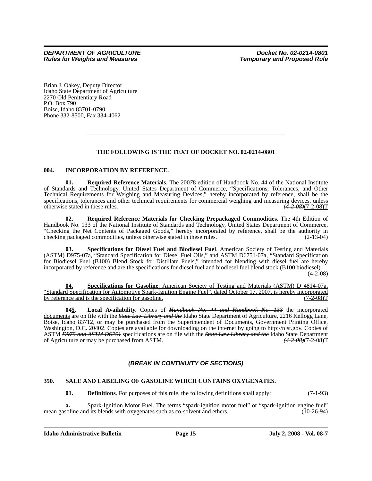Brian J. Oakey, Deputy Director Idaho State Department of Agriculture 2270 Old Penitentiary Road P.O. Box 790 Boise, Idaho 83701-0790 Phone 332-8500, Fax 334-4062

# **THE FOLLOWING IS THE TEXT OF DOCKET NO. 02-0214-0801**

#### **004. INCORPORATION BY REFERENCE.**

**01. Required Reference Materials**. The 200*7*8 edition of Handbook No. 44 of the National Institute of Standards and Technology, United States Department of Commerce, "Specifications, Tolerances, and Other Technical Requirements for Weighing and Measuring Devices," hereby incorporated by reference, shall be the specifications, tolerances and other technical requirements for commercial weighing and measuring devices, unless otherwise stated in these rules.  $(4-2.08)(7-2.08)$ T otherwise stated in these rules.

**02. Required Reference Materials for Checking Prepackaged Commodities**. The 4th Edition of Handbook No. 133 of the National Institute of Standards and Technology, United States Department of Commerce, "Checking the Net Contents of Packaged Goods," hereby incorporated by reference, shall be the authority in checking packaged commodities, unless otherwise stated in these rules. (2-13-04)

**03. Specifications for Diesel Fuel and Biodiesel Fuel**. American Society of Testing and Materials (ASTM) D975-07a, "Standard Specification for Diesel Fuel Oils," and ASTM D6751-07a, "Standard Specification for Biodiesel Fuel (B100) Blend Stock for Distillate Fuels," intended for blending with diesel fuel are hereby incorporated by reference and are the specifications for diesel fuel and biodiesel fuel blend stock (B100 biodiesel).

 $(4-2-08)$ 

**04. Specifications for Gasoline**. American Society of Testing and Materials (ASTM) D 4814-07a, "Standard Specification for Automotive Spark-Ignition Engine Fuel", dated October 17, 2007, is hereby incorporated by reference and is the specification for gasoline.

**0***4***5. Local Availability**. Copies of *Handbook No. 44 and Handbook No. 133* the incorporated documents are on file with the *State Law Library and the* Idaho State Department of Agriculture, 2216 Kellogg Lane, Boise, Idaho 83712, or may be purchased from the Superintendent of Documents, Government Printing Office, Washington, D.C. 20402. Copies are available for downloading on the internet by going to http://nist.gov. Copies of ASTM *D975 and ASTM D6751* specifications are on file with the *State Law Library and the* Idaho State Department of Agriculture or may be purchased from ASTM.

# *(BREAK IN CONTINUITY OF SECTIONS)*

#### **350. SALE AND LABELING OF GASOLINE WHICH CONTAINS OXYGENATES.**

**01. Definitions**. For purposes of this rule, the following definitions shall apply: (7-1-93)

**a.** Spark-Ignition Motor Fuel. The terms "spark-ignition motor fuel" or "spark-ignition engine fuel" mean gasoline and its blends with oxygenates such as co-solvent and ethers. (10-26-94)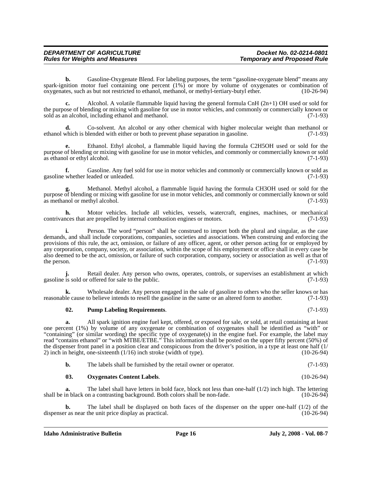| <b>DEPARTMENT OF AGRICULTURE</b>      | Docket No. 02-0214-0801            |
|---------------------------------------|------------------------------------|
| <b>Rules for Weights and Measures</b> | <b>Temporary and Proposed Rule</b> |

**b.** Gasoline-Oxygenate Blend. For labeling purposes, the term "gasoline-oxygenate blend" means any spark-ignition motor fuel containing one percent  $(1\%)$  or more by volume of oxygenates or combination of oxygenates. such as but not restricted to ethanol, methanol, or methyl-tertiary-butyl ether. (10-26-94) oxygenates, such as but not restricted to ethanol, methanol, or methyl-tertiary-butyl ether.

**c.** Alcohol. A volatile flammable liquid having the general formula CnH (2n+1) OH used or sold for the purpose of blending or mixing with gasoline for use in motor vehicles, and commonly or commercially known or sold as an alcohol, including ethanol and methanol. (7-1-93)

**d.** Co-solvent. An alcohol or any other chemical with higher molecular weight than methanol or ethanol which is blended with either or both to prevent phase separation in gasoline. (7-1-93)

**e.** Ethanol. Ethyl alcohol, a flammable liquid having the formula C2H5OH used or sold for the purpose of blending or mixing with gasoline for use in motor vehicles, and commonly or commercially known or sold as ethanol or ethyl alcohol. (7-1-93)

**f.** Gasoline. Any fuel sold for use in motor vehicles and commonly or commercially known or sold as gasoline whether leaded or unleaded. (7-1-93)

**g.** Methanol. Methyl alcohol, a flammable liquid having the formula CH3OH used or sold for the purpose of blending or mixing with gasoline for use in motor vehicles, and commonly or commercially known or sold as methanol or methyl alcohol.

**h.** Motor vehicles. Include all vehicles, vessels, watercraft, engines, machines, or mechanical contrivances that are propelled by internal combustion engines or motors. (7-1-93)

**i.** Person. The word "person" shall be construed to import both the plural and singular, as the case demands, and shall include corporations, companies, societies and associations. When construing and enforcing the provisions of this rule, the act, omission, or failure of any officer, agent, or other person acting for or employed by any corporation, company, society, or association, within the scope of his employment or office shall in every case be also deemed to be the act, omission, or failure of such corporation, company, society or association as well as that of the person.  $(7-1-93)$ 

Retail dealer. Any person who owns, operates, controls, or supervises an establishment at which r offered for sale to the public. (7-1-93) gasoline is sold or offered for sale to the public.

**k.** Wholesale dealer. Any person engaged in the sale of gasoline to others who the seller knows or has reasonable cause to believe intends to resell the gasoline in the same or an altered form to another. (7-1-93)

#### **02. Pump Labeling Requirements**. (7-1-93)

**a.** All spark ignition engine fuel kept, offered, or exposed for sale, or sold, at retail containing at least one percent (1%) by volume of any oxygenate or combination of oxygenates shall be identified as "with" or "containing" (or similar wording) the specific type of oxygenate(s) in the engine fuel. For example, the label may read "contains ethanol" or "with MTBE/ETBE." This information shall be posted on the upper fifty percent (50%) of the dispenser front panel in a position clear and conspicuous from the driver's position, in a type at least one half (1/ 2) inch in height, one-sixteenth (1/16) inch stroke (width of type). (10-26-94)

| v. | The labels shall be furnished by the retail owner or operator. | $(7-1-93)$ |
|----|----------------------------------------------------------------|------------|
|----|----------------------------------------------------------------|------------|

#### **03. Oxygenates Content Labels**. (10-26-94)

**a.** The label shall have letters in bold face, block not less than one-half (1/2) inch high. The lettering shall be in black on a contrasting background. Both colors shall be non-fade. (10-26-94)

The label shall be displayed on both faces of the dispenser on the upper one-half  $(1/2)$  of the dispenser as near the unit price display as practical. (10-26-94)